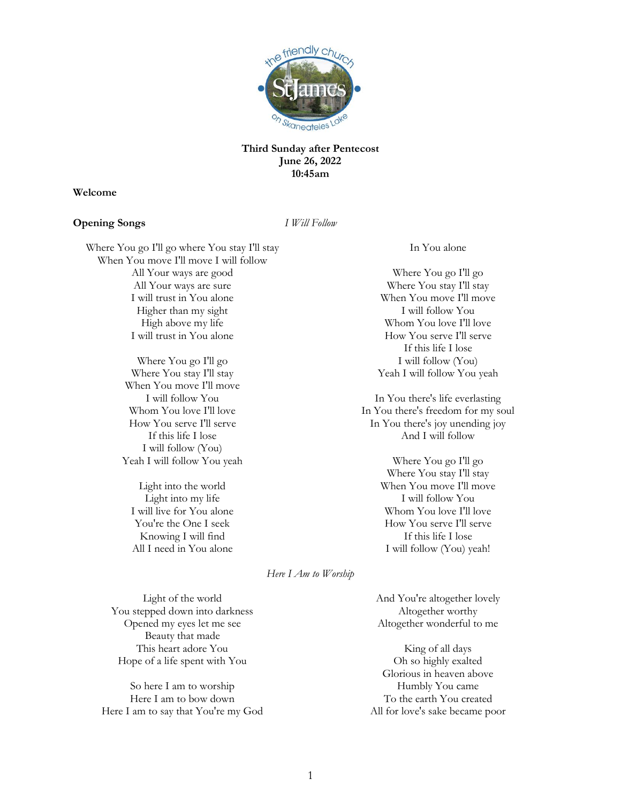

### **Third Sunday after Pentecost June 26, 2022 10:45am**

**Welcome** 

## **Opening Songs** *I Will Follow*

Where You go I'll go where You stay I'll stay When You move I'll move I will follow All Your ways are good All Your ways are sure I will trust in You alone Higher than my sight High above my life I will trust in You alone

> Where You go I'll go Where You stay I'll stay When You move I'll move I will follow You Whom You love I'll love How You serve I'll serve If this life I lose I will follow (You) Yeah I will follow You yeah

Light into the world Light into my life I will live for You alone You're the One I seek Knowing I will find All I need in You alone

In You alone

Where You go I'll go Where You stay I'll stay When You move I'll move I will follow You Whom You love I'll love How You serve I'll serve If this life I lose I will follow (You) Yeah I will follow You yeah

In You there's life everlasting In You there's freedom for my soul In You there's joy unending joy And I will follow

> Where You go I'll go Where You stay I'll stay When You move I'll move I will follow You Whom You love I'll love How You serve I'll serve If this life I lose I will follow (You) yeah!

#### *Here I Am to Worship*

Light of the world You stepped down into darkness Opened my eyes let me see Beauty that made This heart adore You Hope of a life spent with You

So here I am to worship Here I am to bow down Here I am to say that You're my God And You're altogether lovely Altogether worthy Altogether wonderful to me

King of all days Oh so highly exalted Glorious in heaven above Humbly You came To the earth You created All for love's sake became poor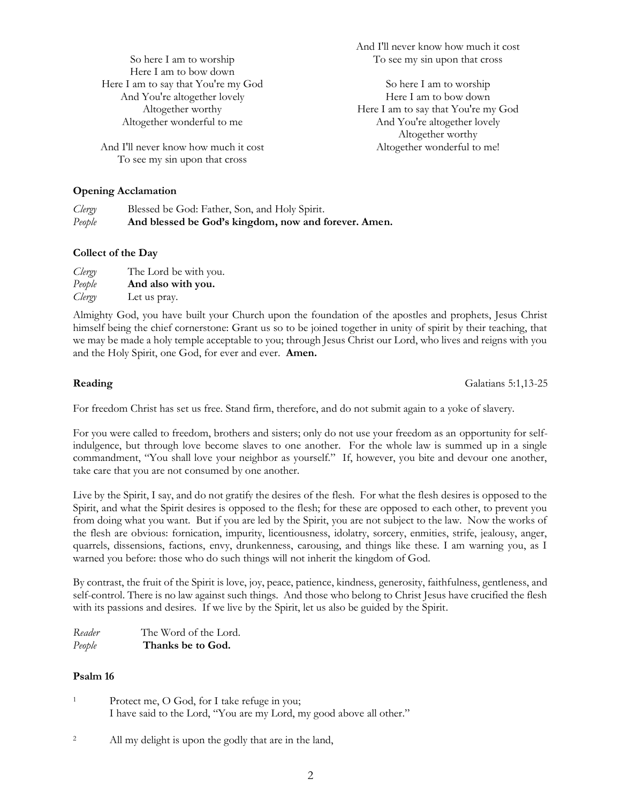|                                      | And I'll never know how much it cost |
|--------------------------------------|--------------------------------------|
| So here I am to worship              | To see my sin upon that cross        |
| Here I am to bow down                |                                      |
| Here I am to say that You're my God  | So here I am to worship              |
| And You're altogether lovely         | Here I am to bow down                |
| Altogether worthy                    | Here I am to say that You're my God  |
| Altogether wonderful to me           | And You're altogether lovely         |
|                                      | Altogether worthy                    |
| And I'll never know how much it cost | Altogether wonderful to me!          |
| To see my sin upon that cross        |                                      |

### **Opening Acclamation**

*Clergy* Blessed be God: Father, Son, and Holy Spirit. *People* **And blessed be God's kingdom, now and forever. Amen.**

#### **Collect of the Day**

| Clergy | The Lord be with you. |
|--------|-----------------------|
| People | And also with you.    |
| Clergy | Let us pray.          |

Almighty God, you have built your Church upon the foundation of the apostles and prophets, Jesus Christ himself being the chief cornerstone: Grant us so to be joined together in unity of spirit by their teaching, that we may be made a holy temple acceptable to you; through Jesus Christ our Lord, who lives and reigns with you and the Holy Spirit, one God, for ever and ever. **Amen.**

**Reading** Galatians 5:1,13-25

For freedom Christ has set us free. Stand firm, therefore, and do not submit again to a yoke of slavery.

For you were called to freedom, brothers and sisters; only do not use your freedom as an opportunity for selfindulgence, but through love become slaves to one another. For the whole law is summed up in a single commandment, "You shall love your neighbor as yourself." If, however, you bite and devour one another, take care that you are not consumed by one another.

Live by the Spirit, I say, and do not gratify the desires of the flesh. For what the flesh desires is opposed to the Spirit, and what the Spirit desires is opposed to the flesh; for these are opposed to each other, to prevent you from doing what you want. But if you are led by the Spirit, you are not subject to the law. Now the works of the flesh are obvious: fornication, impurity, licentiousness, idolatry, sorcery, enmities, strife, jealousy, anger, quarrels, dissensions, factions, envy, drunkenness, carousing, and things like these. I am warning you, as I warned you before: those who do such things will not inherit the kingdom of God.

By contrast, the fruit of the Spirit is love, joy, peace, patience, kindness, generosity, faithfulness, gentleness, and self-control. There is no law against such things. And those who belong to Christ Jesus have crucified the flesh with its passions and desires. If we live by the Spirit, let us also be guided by the Spirit.

| Reader | The Word of the Lord. |
|--------|-----------------------|
| People | Thanks be to God.     |

#### **Psalm 16**

- <sup>1</sup> Protect me, O God, for I take refuge in you; I have said to the Lord, "You are my Lord, my good above all other."
- <sup>2</sup> All my delight is upon the godly that are in the land,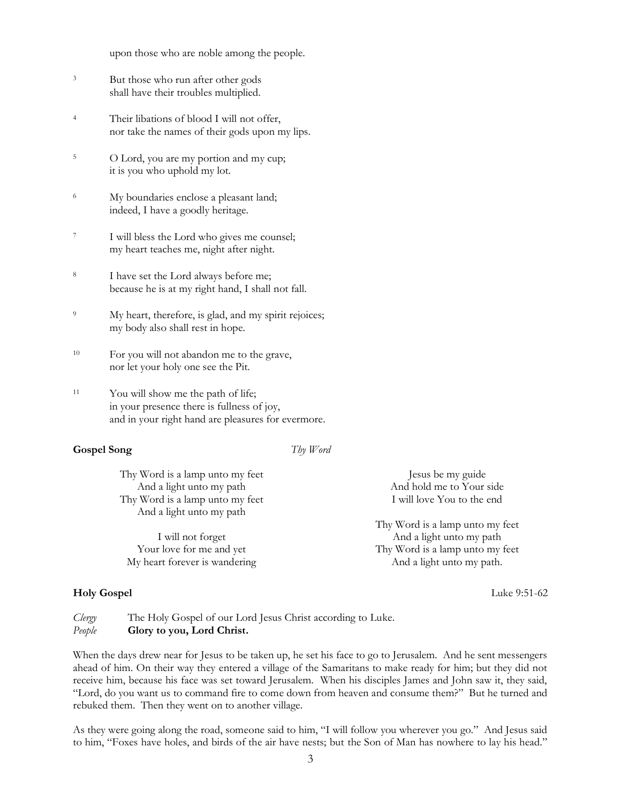upon those who are noble among the people.

- <sup>3</sup> But those who run after other gods shall have their troubles multiplied.
- <sup>4</sup> Their libations of blood I will not offer, nor take the names of their gods upon my lips.
- <sup>5</sup> O Lord, you are my portion and my cup; it is you who uphold my lot.
- <sup>6</sup> My boundaries enclose a pleasant land; indeed, I have a goodly heritage.
- <sup>7</sup> I will bless the Lord who gives me counsel; my heart teaches me, night after night.
- <sup>8</sup> I have set the Lord always before me; because he is at my right hand, I shall not fall.
- <sup>9</sup> My heart, therefore, is glad, and my spirit rejoices; my body also shall rest in hope.
- <sup>10</sup> For you will not abandon me to the grave, nor let your holy one see the Pit.
- <sup>11</sup> You will show me the path of life; in your presence there is fullness of joy, and in your right hand are pleasures for evermore.

## **Gospel Song** *Thy Word*

Thy Word is a lamp unto my feet And a light unto my path Thy Word is a lamp unto my feet And a light unto my path

I will not forget Your love for me and yet My heart forever is wandering

Jesus be my guide And hold me to Your side I will love You to the end

Thy Word is a lamp unto my feet And a light unto my path Thy Word is a lamp unto my feet And a light unto my path.

**Holy Gospel** Luke 9:51-62

## *Clergy* The Holy Gospel of our Lord Jesus Christ according to Luke. *People* **Glory to you, Lord Christ.**

When the days drew near for Jesus to be taken up, he set his face to go to Jerusalem. And he sent messengers ahead of him. On their way they entered a village of the Samaritans to make ready for him; but they did not receive him, because his face was set toward Jerusalem. When his disciples James and John saw it, they said, "Lord, do you want us to command fire to come down from heaven and consume them?" But he turned and rebuked them. Then they went on to another village.

As they were going along the road, someone said to him, "I will follow you wherever you go." And Jesus said to him, "Foxes have holes, and birds of the air have nests; but the Son of Man has nowhere to lay his head."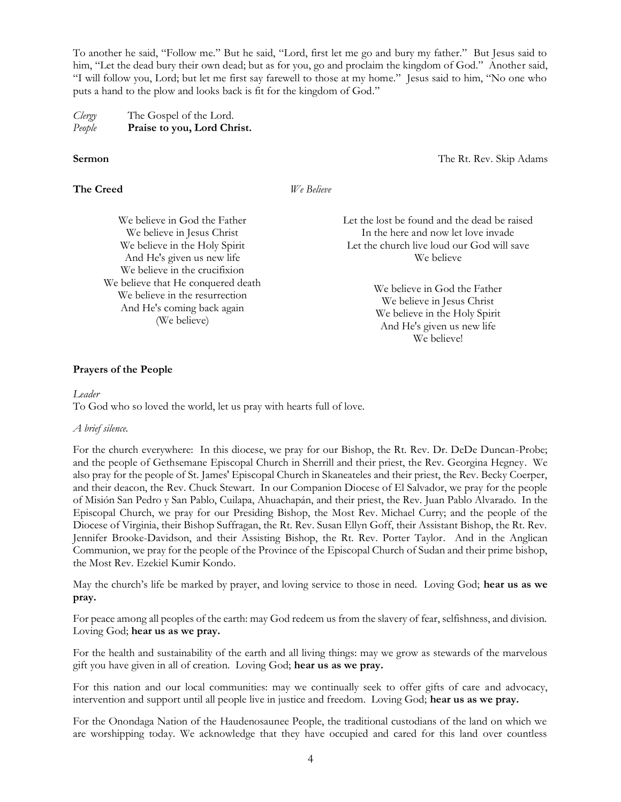To another he said, "Follow me." But he said, "Lord, first let me go and bury my father." But Jesus said to him, "Let the dead bury their own dead; but as for you, go and proclaim the kingdom of God." Another said, "I will follow you, Lord; but let me first say farewell to those at my home." Jesus said to him, "No one who puts a hand to the plow and looks back is fit for the kingdom of God."

| Clergy | The Gospel of the Lord.     |
|--------|-----------------------------|
| People | Praise to you, Lord Christ. |

**Sermon** The Rt. Rev. Skip Adams

## **The Creed** *We Believe*

We believe in God the Father We believe in Jesus Christ We believe in the Holy Spirit And He's given us new life We believe in the crucifixion We believe that He conquered death We believe in the resurrection And He's coming back again (We believe)

Let the lost be found and the dead be raised In the here and now let love invade Let the church live loud our God will save We believe

> We believe in God the Father We believe in Jesus Christ We believe in the Holy Spirit And He's given us new life We believe!

## **Prayers of the People**

*Leader*

To God who so loved the world, let us pray with hearts full of love.

## *A brief silence.*

For the church everywhere: In this diocese, we pray for our Bishop, the Rt. Rev. Dr. DeDe Duncan-Probe; and the people of Gethsemane Episcopal Church in Sherrill and their priest, the Rev. Georgina Hegney. We also pray for the people of St. James' Episcopal Church in Skaneateles and their priest, the Rev. Becky Coerper, and their deacon, the Rev. Chuck Stewart. In our Companion Diocese of El Salvador, we pray for the people of Misión San Pedro y San Pablo, Cuilapa, Ahuachapán, and their priest, the Rev. Juan Pablo Alvarado. In the Episcopal Church, we pray for our Presiding Bishop, the Most Rev. Michael Curry; and the people of the Diocese of Virginia, their Bishop Suffragan, the Rt. Rev. Susan Ellyn Goff, their Assistant Bishop, the Rt. Rev. Jennifer Brooke-Davidson, and their Assisting Bishop, the Rt. Rev. Porter Taylor. And in the Anglican Communion, we pray for the people of the Province of the Episcopal Church of Sudan and their prime bishop, the Most Rev. Ezekiel Kumir Kondo.

May the church's life be marked by prayer, and loving service to those in need. Loving God; **hear us as we pray.**

For peace among all peoples of the earth: may God redeem us from the slavery of fear, selfishness, and division. Loving God; **hear us as we pray.**

For the health and sustainability of the earth and all living things: may we grow as stewards of the marvelous gift you have given in all of creation. Loving God; **hear us as we pray.**

For this nation and our local communities: may we continually seek to offer gifts of care and advocacy, intervention and support until all people live in justice and freedom. Loving God; **hear us as we pray.**

For the Onondaga Nation of the Haudenosaunee People, the traditional custodians of the land on which we are worshipping today. We acknowledge that they have occupied and cared for this land over countless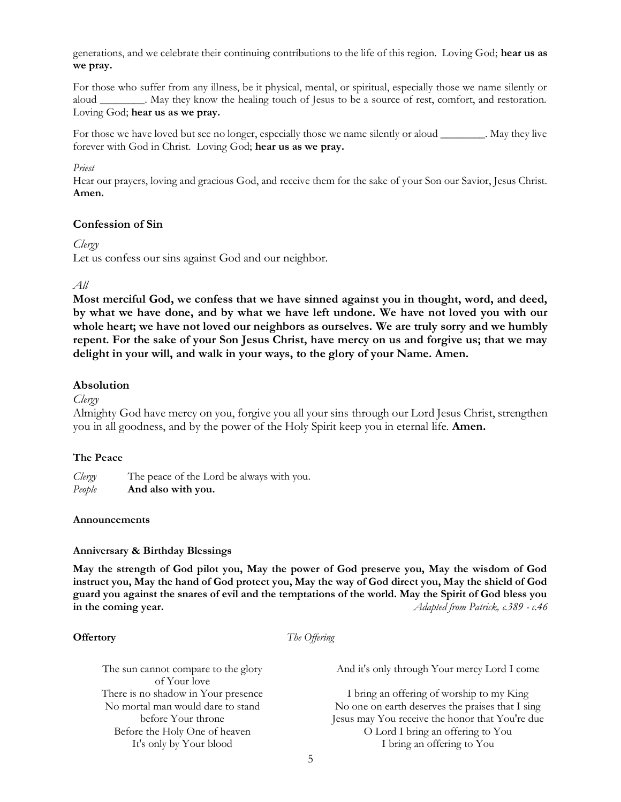generations, and we celebrate their continuing contributions to the life of this region. Loving God; **hear us as we pray.**

For those who suffer from any illness, be it physical, mental, or spiritual, especially those we name silently or aloud \_\_\_\_\_\_\_\_. May they know the healing touch of Jesus to be a source of rest, comfort, and restoration. Loving God; **hear us as we pray.**

For those we have loved but see no longer, especially those we name silently or aloud \_\_\_\_\_\_\_\_. May they live forever with God in Christ. Loving God; **hear us as we pray.**

## *Priest*

Hear our prayers, loving and gracious God, and receive them for the sake of your Son our Savior, Jesus Christ. **Amen.**

## **Confession of Sin**

*Clergy*

Let us confess our sins against God and our neighbor.

## *All*

**Most merciful God, we confess that we have sinned against you in thought, word, and deed, by what we have done, and by what we have left undone. We have not loved you with our whole heart; we have not loved our neighbors as ourselves. We are truly sorry and we humbly repent. For the sake of your Son Jesus Christ, have mercy on us and forgive us; that we may delight in your will, and walk in your ways, to the glory of your Name. Amen.**

## **Absolution**

*Clergy*

Almighty God have mercy on you, forgive you all your sins through our Lord Jesus Christ, strengthen you in all goodness, and by the power of the Holy Spirit keep you in eternal life. **Amen.**

### **The Peace**

*Clergy* The peace of the Lord be always with you. *People* **And also with you.**

### **Announcements**

### **Anniversary & Birthday Blessings**

**May the strength of God pilot you, May the power of God preserve you, May the wisdom of God instruct you, May the hand of God protect you, May the way of God direct you, May the shield of God guard you against the snares of evil and the temptations of the world. May the Spirit of God bless you in the coming year.** *Adapted from Patrick, c.389 - c.46*

**Offertory** *The Offering*

The sun cannot compare to the glory of Your love There is no shadow in Your presence No mortal man would dare to stand before Your throne Before the Holy One of heaven It's only by Your blood

And it's only through Your mercy Lord I come

I bring an offering of worship to my King No one on earth deserves the praises that I sing Jesus may You receive the honor that You're due O Lord I bring an offering to You I bring an offering to You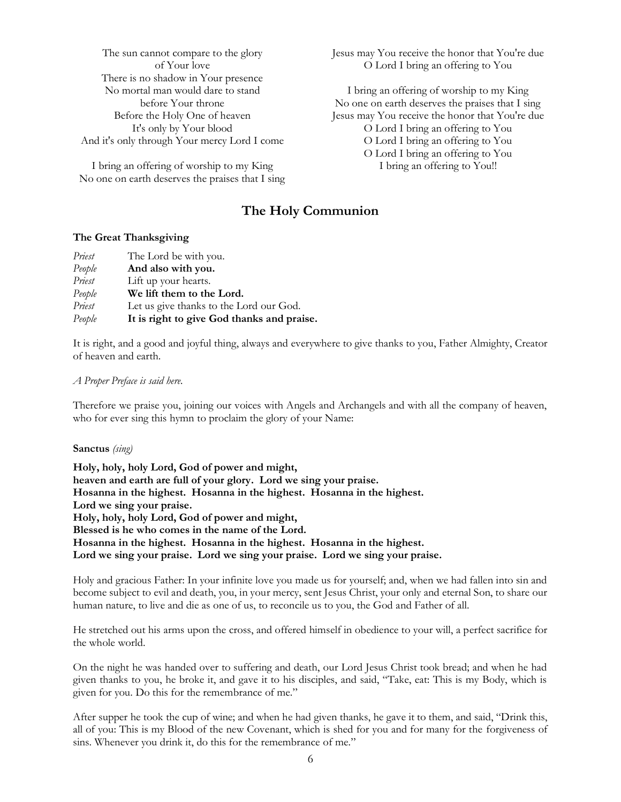The sun cannot compare to the glory of Your love There is no shadow in Your presence No mortal man would dare to stand before Your throne Before the Holy One of heaven It's only by Your blood And it's only through Your mercy Lord I come

I bring an offering of worship to my King No one on earth deserves the praises that I sing Jesus may You receive the honor that You're due O Lord I bring an offering to You

I bring an offering of worship to my King No one on earth deserves the praises that I sing Jesus may You receive the honor that You're due O Lord I bring an offering to You O Lord I bring an offering to You O Lord I bring an offering to You I bring an offering to You!!

# **The Holy Communion**

## **The Great Thanksgiving**

| Priest | The Lord be with you.                      |
|--------|--------------------------------------------|
| People | And also with you.                         |
| Priest | Lift up your hearts.                       |
| People | We lift them to the Lord.                  |
| Priest | Let us give thanks to the Lord our God.    |
| People | It is right to give God thanks and praise. |

It is right, and a good and joyful thing, always and everywhere to give thanks to you, Father Almighty, Creator of heaven and earth.

### *A Proper Preface is said here.*

Therefore we praise you, joining our voices with Angels and Archangels and with all the company of heaven, who for ever sing this hymn to proclaim the glory of your Name:

#### **Sanctus** *(sing)*

**Holy, holy, holy Lord, God of power and might, heaven and earth are full of your glory. Lord we sing your praise. Hosanna in the highest. Hosanna in the highest. Hosanna in the highest. Lord we sing your praise. Holy, holy, holy Lord, God of power and might, Blessed is he who comes in the name of the Lord. Hosanna in the highest. Hosanna in the highest. Hosanna in the highest. Lord we sing your praise. Lord we sing your praise. Lord we sing your praise.**

Holy and gracious Father: In your infinite love you made us for yourself; and, when we had fallen into sin and become subject to evil and death, you, in your mercy, sent Jesus Christ, your only and eternal Son, to share our human nature, to live and die as one of us, to reconcile us to you, the God and Father of all.

He stretched out his arms upon the cross, and offered himself in obedience to your will, a perfect sacrifice for the whole world.

On the night he was handed over to suffering and death, our Lord Jesus Christ took bread; and when he had given thanks to you, he broke it, and gave it to his disciples, and said, "Take, eat: This is my Body, which is given for you. Do this for the remembrance of me."

After supper he took the cup of wine; and when he had given thanks, he gave it to them, and said, "Drink this, all of you: This is my Blood of the new Covenant, which is shed for you and for many for the forgiveness of sins. Whenever you drink it, do this for the remembrance of me."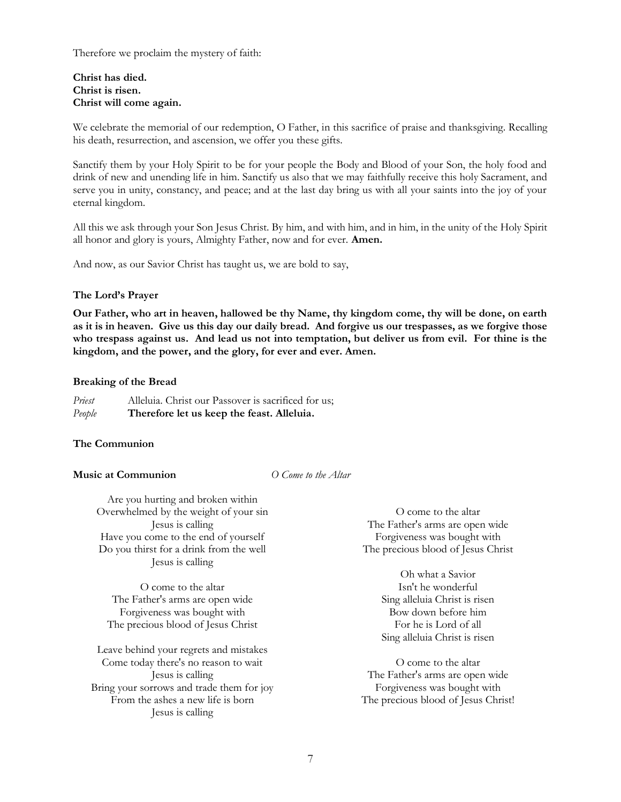Therefore we proclaim the mystery of faith:

## **Christ has died. Christ is risen. Christ will come again.**

We celebrate the memorial of our redemption, O Father, in this sacrifice of praise and thanksgiving. Recalling his death, resurrection, and ascension, we offer you these gifts.

Sanctify them by your Holy Spirit to be for your people the Body and Blood of your Son, the holy food and drink of new and unending life in him. Sanctify us also that we may faithfully receive this holy Sacrament, and serve you in unity, constancy, and peace; and at the last day bring us with all your saints into the joy of your eternal kingdom.

All this we ask through your Son Jesus Christ. By him, and with him, and in him, in the unity of the Holy Spirit all honor and glory is yours, Almighty Father, now and for ever. **Amen.**

And now, as our Savior Christ has taught us, we are bold to say,

### **The Lord's Prayer**

**Our Father, who art in heaven, hallowed be thy Name, thy kingdom come, thy will be done, on earth as it is in heaven. Give us this day our daily bread. And forgive us our trespasses, as we forgive those who trespass against us. And lead us not into temptation, but deliver us from evil. For thine is the kingdom, and the power, and the glory, for ever and ever. Amen.**

## **Breaking of the Bread**

| Priest | Alleluia. Christ our Passover is sacrificed for us; |
|--------|-----------------------------------------------------|
| People | Therefore let us keep the feast. Alleluia.          |

### **The Communion**

## **Music at Communion** *O Come to the Altar*

Are you hurting and broken within Overwhelmed by the weight of your sin Jesus is calling Have you come to the end of yourself Do you thirst for a drink from the well Jesus is calling

O come to the altar The Father's arms are open wide Forgiveness was bought with The precious blood of Jesus Christ

Leave behind your regrets and mistakes Come today there's no reason to wait Jesus is calling Bring your sorrows and trade them for joy From the ashes a new life is born Jesus is calling

O come to the altar The Father's arms are open wide Forgiveness was bought with The precious blood of Jesus Christ

> Oh what a Savior Isn't he wonderful Sing alleluia Christ is risen Bow down before him For he is Lord of all Sing alleluia Christ is risen

O come to the altar The Father's arms are open wide Forgiveness was bought with The precious blood of Jesus Christ!